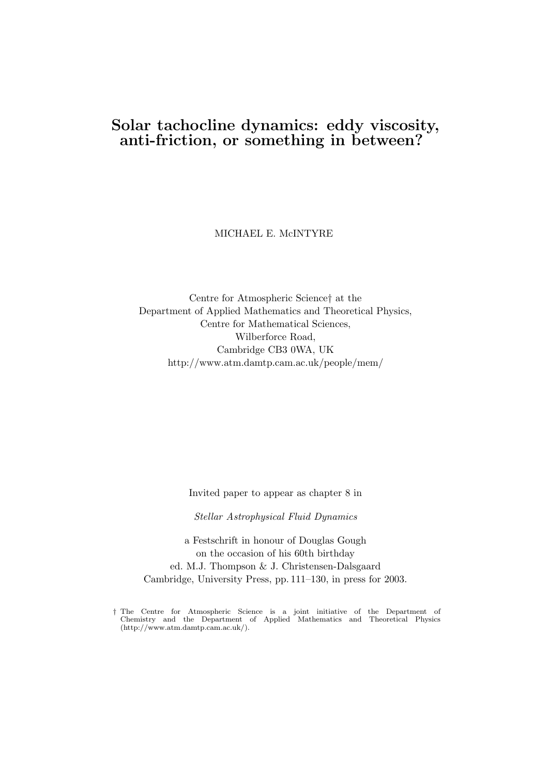## Solar tachocline dynamics: eddy viscosity, anti-friction, or something in between?

MICHAEL E. McINTYRE

Centre for Atmospheric Science† at the Department of Applied Mathematics and Theoretical Physics, Centre for Mathematical Sciences, Wilberforce Road, Cambridge CB3 0WA, UK http://www.atm.damtp.cam.ac.uk/people/mem/

Invited paper to appear as chapter 8 in

Stellar Astrophysical Fluid Dynamics

a Festschrift in honour of Douglas Gough on the occasion of his 60th birthday ed. M.J. Thompson & J. Christensen-Dalsgaard Cambridge, University Press, pp. 111–130, in press for 2003.

<sup>†</sup> The Centre for Atmospheric Science is a joint initiative of the Department of Chemistry and the Department of Applied Mathematics and Theoretical Physics (http://www.atm.damtp.cam.ac.uk/).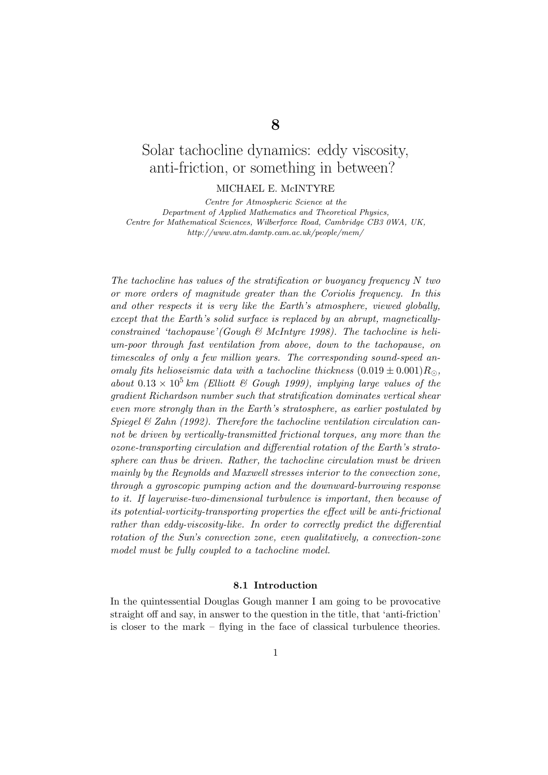# Solar tachocline dynamics: eddy viscosity, anti-friction, or something in between?

#### MICHAEL E. McINTYRE

Centre for Atmospheric Science at the Department of Applied Mathematics and Theoretical Physics, Centre for Mathematical Sciences, Wilberforce Road, Cambridge CB3 0WA, UK, http://www.atm.damtp.cam.ac.uk/people/mem/

The tachocline has values of the stratification or buoyancy frequency N two or more orders of magnitude greater than the Coriolis frequency. In this and other respects it is very like the Earth's atmosphere, viewed globally, except that the Earth's solid surface is replaced by an abrupt, magneticallyconstrained 'tachopause'(Gough  $\mathcal B$  McIntyre 1998). The tachocline is helium-poor through fast ventilation from above, down to the tachopause, on timescales of only a few million years. The corresponding sound-speed anomaly fits helioseismic data with a tachocline thickness  $(0.019 \pm 0.001)R_{\odot}$ , about  $0.13 \times 10^5$  km (Elliott & Gough 1999), implying large values of the gradient Richardson number such that stratification dominates vertical shear even more strongly than in the Earth's stratosphere, as earlier postulated by Spiegel & Zahn (1992). Therefore the tachocline ventilation circulation cannot be driven by vertically-transmitted frictional torques, any more than the ozone-transporting circulation and differential rotation of the Earth's stratosphere can thus be driven. Rather, the tachocline circulation must be driven mainly by the Reynolds and Maxwell stresses interior to the convection zone, through a gyroscopic pumping action and the downward-burrowing response to it. If layerwise-two-dimensional turbulence is important, then because of its potential-vorticity-transporting properties the effect will be anti-frictional rather than eddy-viscosity-like. In order to correctly predict the differential rotation of the Sun's convection zone, even qualitatively, a convection-zone model must be fully coupled to a tachocline model.

#### 8.1 Introduction

In the quintessential Douglas Gough manner I am going to be provocative straight off and say, in answer to the question in the title, that 'anti-friction' is closer to the mark – flying in the face of classical turbulence theories.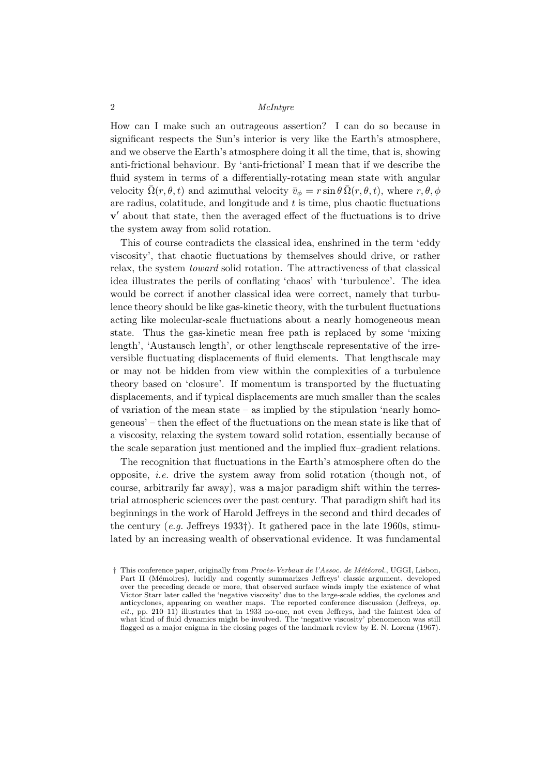How can I make such an outrageous assertion? I can do so because in significant respects the Sun's interior is very like the Earth's atmosphere, and we observe the Earth's atmosphere doing it all the time, that is, showing anti-frictional behaviour. By 'anti-frictional' I mean that if we describe the fluid system in terms of a differentially-rotating mean state with angular velocity  $\bar{\Omega}(r, \theta, t)$  and azimuthal velocity  $\bar{v}_{\phi} = r \sin \theta \bar{\Omega}(r, \theta, t)$ , where  $r, \theta, \phi$ are radius, colatitude, and longitude and  $t$  is time, plus chaotic fluctuations  ${\bf v}'$  about that state, then the averaged effect of the fluctuations is to drive the system away from solid rotation.

This of course contradicts the classical idea, enshrined in the term 'eddy viscosity', that chaotic fluctuations by themselves should drive, or rather relax, the system toward solid rotation. The attractiveness of that classical idea illustrates the perils of conflating 'chaos' with 'turbulence'. The idea would be correct if another classical idea were correct, namely that turbulence theory should be like gas-kinetic theory, with the turbulent fluctuations acting like molecular-scale fluctuations about a nearly homogeneous mean state. Thus the gas-kinetic mean free path is replaced by some 'mixing length', 'Austausch length', or other lengthscale representative of the irreversible fluctuating displacements of fluid elements. That lengthscale may or may not be hidden from view within the complexities of a turbulence theory based on 'closure'. If momentum is transported by the fluctuating displacements, and if typical displacements are much smaller than the scales of variation of the mean state – as implied by the stipulation 'nearly homogeneous' – then the effect of the fluctuations on the mean state is like that of a viscosity, relaxing the system toward solid rotation, essentially because of the scale separation just mentioned and the implied flux–gradient relations.

The recognition that fluctuations in the Earth's atmosphere often do the opposite, *i.e.* drive the system away from solid rotation (though not, of course, arbitrarily far away), was a major paradigm shift within the terrestrial atmospheric sciences over the past century. That paradigm shift had its beginnings in the work of Harold Jeffreys in the second and third decades of the century (e.g. Jeffreys 1933†). It gathered pace in the late 1960s, stimulated by an increasing wealth of observational evidence. It was fundamental

<sup>&</sup>lt;sup>†</sup> This conference paper, originally from Procès-Verbaux de l'Assoc. de Météorol., UGGI, Lisbon, Part II (Mémoires), lucidly and cogently summarizes Jeffreys' classic argument, developed over the preceding decade or more, that observed surface winds imply the existence of what Victor Starr later called the 'negative viscosity' due to the large-scale eddies, the cyclones and anticyclones, appearing on weather maps. The reported conference discussion (Jeffreys, op.  $cit., pp. 210–11)$  illustrates that in 1933 no-one, not even Jeffreys, had the faintest idea of what kind of fluid dynamics might be involved. The 'negative viscosity' phenomenon was still flagged as a major enigma in the closing pages of the landmark review by E. N. Lorenz (1967).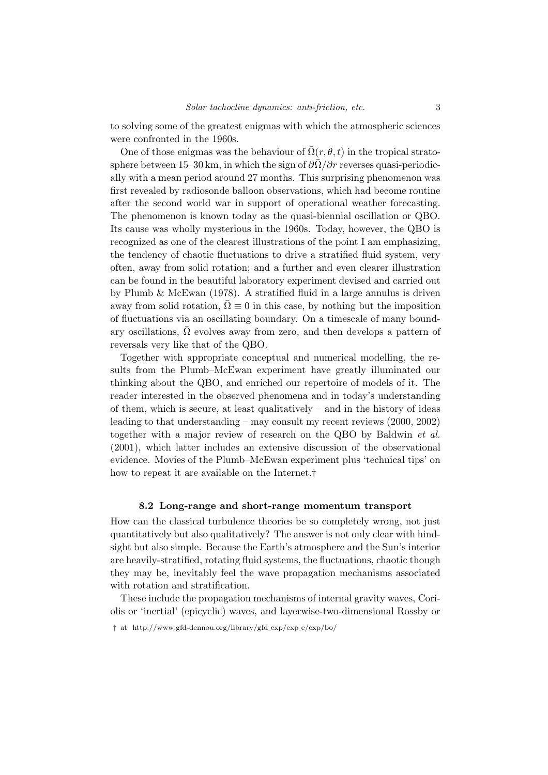to solving some of the greatest enigmas with which the atmospheric sciences were confronted in the 1960s.

One of those enigmas was the behaviour of  $\bar{\Omega}(r, \theta, t)$  in the tropical stratosphere between 15–30 km, in which the sign of  $\partial \overline{\Omega}/\partial r$  reverses quasi-periodically with a mean period around 27 months. This surprising phenomenon was first revealed by radiosonde balloon observations, which had become routine after the second world war in support of operational weather forecasting. The phenomenon is known today as the quasi-biennial oscillation or QBO. Its cause was wholly mysterious in the 1960s. Today, however, the QBO is recognized as one of the clearest illustrations of the point I am emphasizing, the tendency of chaotic fluctuations to drive a stratified fluid system, very often, away from solid rotation; and a further and even clearer illustration can be found in the beautiful laboratory experiment devised and carried out by Plumb & McEwan (1978). A stratified fluid in a large annulus is driven away from solid rotation,  $\overline{\Omega} \equiv 0$  in this case, by nothing but the imposition of fluctuations via an oscillating boundary. On a timescale of many boundary oscillations,  $\overline{\Omega}$  evolves away from zero, and then develops a pattern of reversals very like that of the QBO.

Together with appropriate conceptual and numerical modelling, the results from the Plumb–McEwan experiment have greatly illuminated our thinking about the QBO, and enriched our repertoire of models of it. The reader interested in the observed phenomena and in today's understanding of them, which is secure, at least qualitatively – and in the history of ideas leading to that understanding – may consult my recent reviews (2000, 2002) together with a major review of research on the QBO by Baldwin et al. (2001), which latter includes an extensive discussion of the observational evidence. Movies of the Plumb–McEwan experiment plus 'technical tips' on how to repeat it are available on the Internet.†

#### 8.2 Long-range and short-range momentum transport

How can the classical turbulence theories be so completely wrong, not just quantitatively but also qualitatively? The answer is not only clear with hindsight but also simple. Because the Earth's atmosphere and the Sun's interior are heavily-stratified, rotating fluid systems, the fluctuations, chaotic though they may be, inevitably feel the wave propagation mechanisms associated with rotation and stratification.

These include the propagation mechanisms of internal gravity waves, Coriolis or 'inertial' (epicyclic) waves, and layerwise-two-dimensional Rossby or

<sup>†</sup> at http://www.gfd-dennou.org/library/gfd exp/exp e/exp/bo/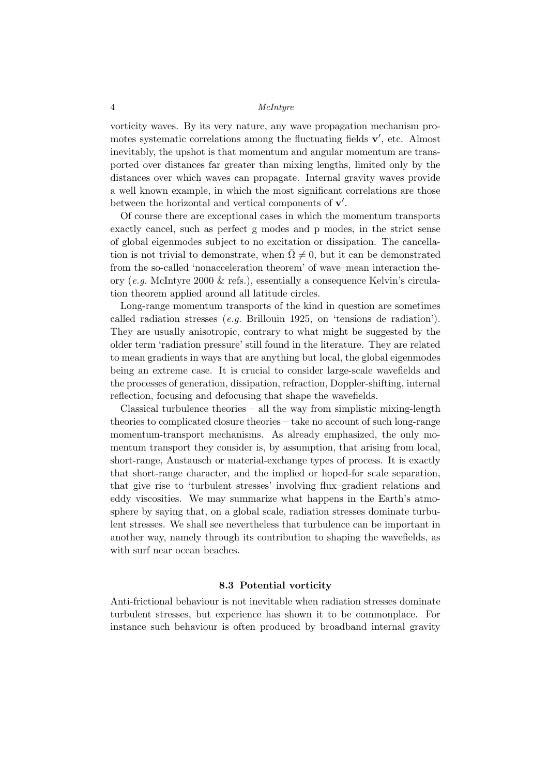vorticity waves. By its very nature, any wave propagation mechanism promotes systematic correlations among the fluctuating fields  $\mathbf{v}'$ , etc. Almost inevitably, the upshot is that momentum and angular momentum are transported over distances far greater than mixing lengths, limited only by the distances over which waves can propagate. Internal gravity waves provide a well known example, in which the most significant correlations are those between the horizontal and vertical components of  $v'$ .

Of course there are exceptional cases in which the momentum transports exactly cancel, such as perfect g modes and p modes, in the strict sense of global eigenmodes subject to no excitation or dissipation. The cancellation is not trivial to demonstrate, when  $\Omega \neq 0$ , but it can be demonstrated from the so-called 'nonacceleration theorem' of wave–mean interaction theory (e.g. McIntyre 2000 & refs.), essentially a consequence Kelvin's circulation theorem applied around all latitude circles.

Long-range momentum transports of the kind in question are sometimes called radiation stresses (e.g. Brillouin 1925, on 'tensions de radiation'). They are usually anisotropic, contrary to what might be suggested by the older term 'radiation pressure' still found in the literature. They are related to mean gradients in ways that are anything but local, the global eigenmodes being an extreme case. It is crucial to consider large-scale wavefields and the processes of generation, dissipation, refraction, Doppler-shifting, internal reflection, focusing and defocusing that shape the wavefields.

Classical turbulence theories – all the way from simplistic mixing-length theories to complicated closure theories – take no account of such long-range momentum-transport mechanisms. As already emphasized, the only momentum transport they consider is, by assumption, that arising from local, short-range, Austausch or material-exchange types of process. It is exactly that short-range character, and the implied or hoped-for scale separation, that give rise to 'turbulent stresses' involving flux–gradient relations and eddy viscosities. We may summarize what happens in the Earth's atmosphere by saying that, on a global scale, radiation stresses dominate turbulent stresses. We shall see nevertheless that turbulence can be important in another way, namely through its contribution to shaping the wavefields, as with surf near ocean beaches.

### 8.3 Potential vorticity

Anti-frictional behaviour is not inevitable when radiation stresses dominate turbulent stresses, but experience has shown it to be commonplace. For instance such behaviour is often produced by broadband internal gravity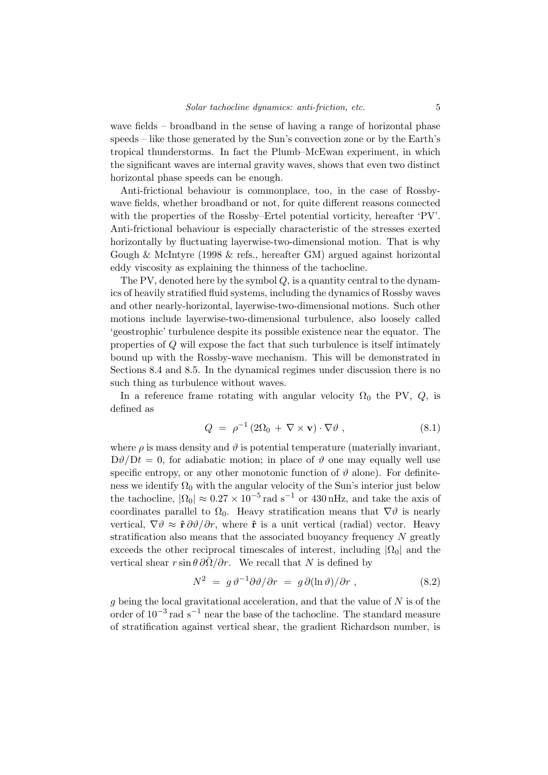wave fields – broadband in the sense of having a range of horizontal phase speeds – like those generated by the Sun's convection zone or by the Earth's tropical thunderstorms. In fact the Plumb–McEwan experiment, in which the significant waves are internal gravity waves, shows that even two distinct horizontal phase speeds can be enough.

Anti-frictional behaviour is commonplace, too, in the case of Rossbywave fields, whether broadband or not, for quite different reasons connected with the properties of the Rossby–Ertel potential vorticity, hereafter 'PV'. Anti-frictional behaviour is especially characteristic of the stresses exerted horizontally by fluctuating layerwise-two-dimensional motion. That is why Gough & McIntyre (1998 & refs., hereafter GM) argued against horizontal eddy viscosity as explaining the thinness of the tachocline.

The PV, denoted here by the symbol  $Q$ , is a quantity central to the dynamics of heavily stratified fluid systems, including the dynamics of Rossby waves and other nearly-horizontal, layerwise-two-dimensional motions. Such other motions include layerwise-two-dimensional turbulence, also loosely called 'geostrophic' turbulence despite its possible existence near the equator. The properties of Q will expose the fact that such turbulence is itself intimately bound up with the Rossby-wave mechanism. This will be demonstrated in Sections 8.4 and 8.5. In the dynamical regimes under discussion there is no such thing as turbulence without waves.

In a reference frame rotating with angular velocity  $\Omega_0$  the PV,  $Q$ , is defined as

$$
Q = \rho^{-1} (2\Omega_0 + \nabla \times \mathbf{v}) \cdot \nabla \vartheta , \qquad (8.1)
$$

where  $\rho$  is mass density and  $\vartheta$  is potential temperature (materially invariant,  $D\vartheta/Dt = 0$ , for adiabatic motion; in place of  $\vartheta$  one may equally well use specific entropy, or any other monotonic function of  $\vartheta$  alone). For definiteness we identify  $\Omega_0$  with the angular velocity of the Sun's interior just below the tachocline,  $|\Omega_0| \approx 0.27 \times 10^{-5}$  rad s<sup>-1</sup> or 430 nHz, and take the axis of coordinates parallel to  $\Omega_0$ . Heavy stratification means that  $\nabla \vartheta$  is nearly vertical,  $\nabla \vartheta \approx \hat{\mathbf{r}} \partial \vartheta / \partial r$ , where  $\hat{\mathbf{r}}$  is a unit vertical (radial) vector. Heavy stratification also means that the associated buoyancy frequency  $N$  greatly exceeds the other reciprocal timescales of interest, including  $|\Omega_0|$  and the vertical shear  $r \sin \theta \, \partial \Omega / \partial r$ . We recall that N is defined by

$$
N^2 = g \,\vartheta^{-1} \partial \vartheta / \partial r = g \,\partial (\ln \vartheta) / \partial r \;, \tag{8.2}
$$

q being the local gravitational acceleration, and that the value of  $N$  is of the order of  $10^{-3}$  rad s<sup>-1</sup> near the base of the tachocline. The standard measure of stratification against vertical shear, the gradient Richardson number, is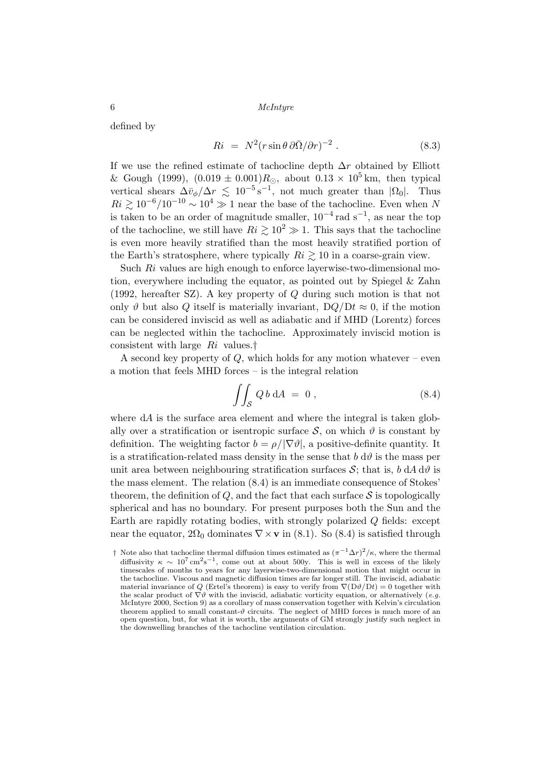defined by

$$
Ri = N^2 (r \sin \theta \, \partial \bar{\Omega} / \partial r)^{-2} . \tag{8.3}
$$

If we use the refined estimate of tachocline depth  $\Delta r$  obtained by Elliott & Gough (1999),  $(0.019 \pm 0.001)R_{\odot}$ , about  $0.13 \times 10^5$  km, then typical vertical shears  $\Delta \bar{v}_{\phi}/\Delta r \lesssim 10^{-5} \text{ s}^{-1}$ , not much greater than  $|\Omega_0|$ . Thus  $Ri \gtrsim 10^{-6}/10^{-10} \sim 10^4 \gg 1$  near the base of the tachocline. Even when N is taken to be an order of magnitude smaller,  $10^{-4}$  rad s<sup>-1</sup>, as near the top of the tachocline, we still have  $Ri \geq 10^2 \gg 1$ . This says that the tachocline is even more heavily stratified than the most heavily stratified portion of the Earth's stratosphere, where typically  $Ri \gtrsim 10$  in a coarse-grain view.

Such Ri values are high enough to enforce layerwise-two-dimensional motion, everywhere including the equator, as pointed out by Spiegel & Zahn (1992, hereafter SZ). A key property of Q during such motion is that not only  $\vartheta$  but also Q itself is materially invariant,  $DQ/Dt \approx 0$ , if the motion can be considered inviscid as well as adiabatic and if MHD (Lorentz) forces can be neglected within the tachocline. Approximately inviscid motion is consistent with large Ri values.†

A second key property of  $Q$ , which holds for any motion whatever – even a motion that feels MHD forces – is the integral relation

$$
\iint_{S} Q b \, dA = 0 , \qquad (8.4)
$$

where  $dA$  is the surface area element and where the integral is taken globally over a stratification or isentropic surface  $S$ , on which  $\vartheta$  is constant by definition. The weighting factor  $b = \rho/|\nabla \vartheta|$ , a positive-definite quantity. It is a stratification-related mass density in the sense that  $b \, d\vartheta$  is the mass per unit area between neighbouring stratification surfaces S; that is, b  $dA d\theta$  is the mass element. The relation (8.4) is an immediate consequence of Stokes' theorem, the definition of  $Q$ , and the fact that each surface  $S$  is topologically spherical and has no boundary. For present purposes both the Sun and the Earth are rapidly rotating bodies, with strongly polarized Q fields: except near the equator,  $2\Omega_0$  dominates  $\nabla \times \mathbf{v}$  in (8.1). So (8.4) is satisfied through

<sup>†</sup> Note also that tachocline thermal diffusion times estimated as  $(\pi^{-1}Δr)^2/κ$ , where the thermal diffusivity  $\kappa \sim 10^7 \,\mathrm{cm}^2 \mathrm{s}^{-1}$ , come out at about 500y. This is well in excess of the likely timescales of months to years for any layerwise-two-dimensional motion that might occur in the tachocline. Viscous and magnetic diffusion times are far longer still. The inviscid, adiabatic material invariance of Q (Ertel's theorem) is easy to verify from  $\nabla(D\vartheta/Dt) = 0$  together with the scalar product of  $\nabla \vartheta$  with the inviscid, adiabatic vorticity equation, or alternatively (e.g. McIntyre 2000, Section 9) as a corollary of mass conservation together with Kelvin's circulation theorem applied to small constant- $\vartheta$  circuits. The neglect of MHD forces is much more of an open question, but, for what it is worth, the arguments of GM strongly justify such neglect in the downwelling branches of the tachocline ventilation circulation.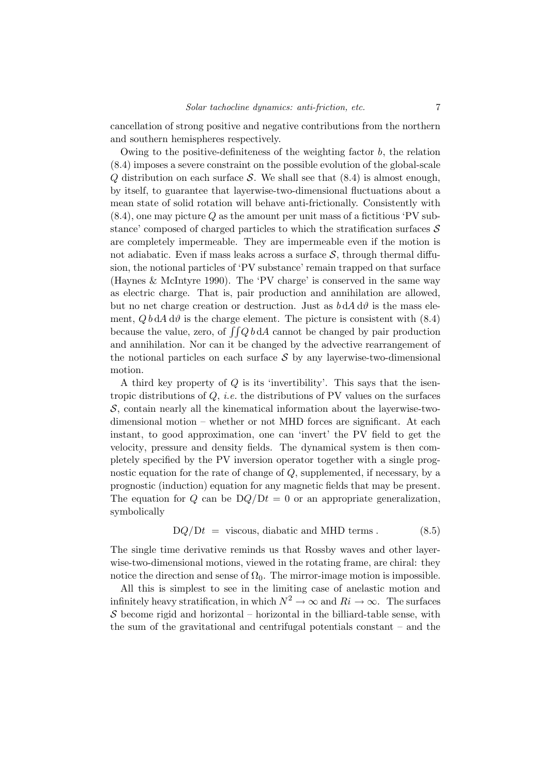cancellation of strong positive and negative contributions from the northern and southern hemispheres respectively.

Owing to the positive-definiteness of the weighting factor  $b$ , the relation (8.4) imposes a severe constraint on the possible evolution of the global-scale Q distribution on each surface S. We shall see that  $(8.4)$  is almost enough, by itself, to guarantee that layerwise-two-dimensional fluctuations about a mean state of solid rotation will behave anti-frictionally. Consistently with  $(8.4)$ , one may picture Q as the amount per unit mass of a fictitious 'PV substance' composed of charged particles to which the stratification surfaces  $S$ are completely impermeable. They are impermeable even if the motion is not adiabatic. Even if mass leaks across a surface  $S$ , through thermal diffusion, the notional particles of 'PV substance' remain trapped on that surface (Haynes & McIntyre 1990). The 'PV charge' is conserved in the same way as electric charge. That is, pair production and annihilation are allowed, but no net charge creation or destruction. Just as  $b dA d\theta$  is the mass element,  $Q b dA d\theta$  is the charge element. The picture is consistent with (8.4) because the value, zero, of  $\iint Q b dA$  cannot be changed by pair production and annihilation. Nor can it be changed by the advective rearrangement of the notional particles on each surface  $S$  by any layerwise-two-dimensional motion.

A third key property of Q is its 'invertibility'. This says that the isentropic distributions of  $Q$ , *i.e.* the distributions of PV values on the surfaces  $S$ , contain nearly all the kinematical information about the layerwise-twodimensional motion – whether or not MHD forces are significant. At each instant, to good approximation, one can 'invert' the PV field to get the velocity, pressure and density fields. The dynamical system is then completely specified by the PV inversion operator together with a single prognostic equation for the rate of change of Q, supplemented, if necessary, by a prognostic (induction) equation for any magnetic fields that may be present. The equation for Q can be  $DQ/Dt = 0$  or an appropriate generalization, symbolically

$$
DQ/Dt = \text{viscous, diabatic and MHD terms.} \tag{8.5}
$$

The single time derivative reminds us that Rossby waves and other layerwise-two-dimensional motions, viewed in the rotating frame, are chiral: they notice the direction and sense of  $\Omega_0$ . The mirror-image motion is impossible.

All this is simplest to see in the limiting case of anelastic motion and infinitely heavy stratification, in which  $N^2 \to \infty$  and  $Ri \to \infty$ . The surfaces  $\mathcal S$  become rigid and horizontal – horizontal in the billiard-table sense, with the sum of the gravitational and centrifugal potentials constant – and the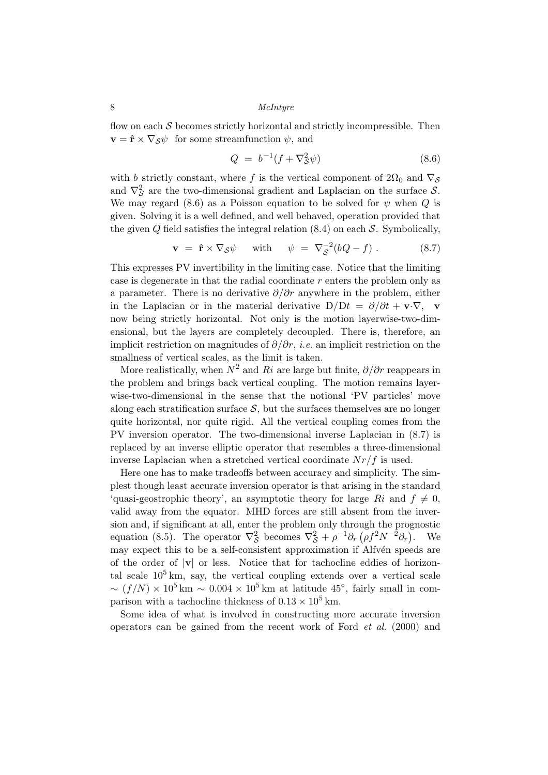flow on each  $\mathcal S$  becomes strictly horizontal and strictly incompressible. Then  $\mathbf{v} = \hat{\mathbf{r}} \times \nabla_{\mathcal{S}} \psi$  for some streamfunction  $\psi$ , and

$$
Q = b^{-1}(f + \nabla_{\mathcal{S}}^2 \psi) \tag{8.6}
$$

with b strictly constant, where f is the vertical component of  $2\Omega_0$  and  $\nabla_S$ and  $\nabla^2_{\mathcal{S}}$  are the two-dimensional gradient and Laplacian on the surface  $\mathcal{S}$ . We may regard (8.6) as a Poisson equation to be solved for  $\psi$  when Q is given. Solving it is a well defined, and well behaved, operation provided that the given Q field satisfies the integral relation  $(8.4)$  on each S. Symbolically,

$$
\mathbf{v} = \hat{\mathbf{r}} \times \nabla_{\mathcal{S}} \psi \quad \text{with} \quad \psi = \nabla_{\mathcal{S}}^{-2} (bQ - f) . \tag{8.7}
$$

This expresses PV invertibility in the limiting case. Notice that the limiting case is degenerate in that the radial coordinate  $r$  enters the problem only as a parameter. There is no derivative  $\partial/\partial r$  anywhere in the problem, either in the Laplacian or in the material derivative  $D/Dt = \partial/\partial t + \mathbf{v}\cdot\nabla$ , v now being strictly horizontal. Not only is the motion layerwise-two-dimensional, but the layers are completely decoupled. There is, therefore, an implicit restriction on magnitudes of  $\partial/\partial r$ , *i.e.* an implicit restriction on the smallness of vertical scales, as the limit is taken.

More realistically, when  $N^2$  and  $Ri$  are large but finite,  $\partial/\partial r$  reappears in the problem and brings back vertical coupling. The motion remains layerwise-two-dimensional in the sense that the notional 'PV particles' move along each stratification surface  $S$ , but the surfaces themselves are no longer quite horizontal, nor quite rigid. All the vertical coupling comes from the PV inversion operator. The two-dimensional inverse Laplacian in (8.7) is replaced by an inverse elliptic operator that resembles a three-dimensional inverse Laplacian when a stretched vertical coordinate  $Nr/f$  is used.

Here one has to make tradeoffs between accuracy and simplicity. The simplest though least accurate inversion operator is that arising in the standard 'quasi-geostrophic theory', an asymptotic theory for large Ri and  $f \neq 0$ , valid away from the equator. MHD forces are still absent from the inversion and, if significant at all, enter the problem only through the prognostic equation (8.5). The operator  $\nabla_{\mathcal{S}}^2$  becomes  $\nabla_{\mathcal{S}}^2 + \rho^{-1} \partial_r (\rho f^2 N^{-2} \partial_r)$ . We may expect this to be a self-consistent approximation if Alfvén speeds are of the order of  $|v|$  or less. Notice that for tachocline eddies of horizontal scale  $10^5$  km, say, the vertical coupling extends over a vertical scale  $\sim (f/N) \times 10^5$  km  $\sim 0.004 \times 10^5$  km at latitude 45<sup>°</sup>, fairly small in comparison with a tachocline thickness of  $0.13 \times 10^5$  km.

Some idea of what is involved in constructing more accurate inversion operators can be gained from the recent work of Ford et al. (2000) and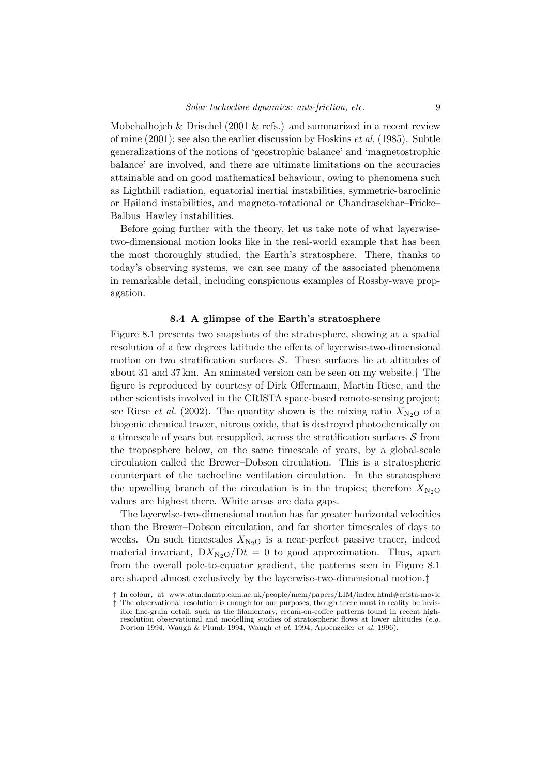Mobehalhojeh  $\&$  Drischel (2001  $\&$  refs.) and summarized in a recent review of mine  $(2001)$ ; see also the earlier discussion by Hoskins *et al.* (1985). Subtle generalizations of the notions of 'geostrophic balance' and 'magnetostrophic balance' are involved, and there are ultimate limitations on the accuracies attainable and on good mathematical behaviour, owing to phenomena such as Lighthill radiation, equatorial inertial instabilities, symmetric-baroclinic or Høiland instabilities, and magneto-rotational or Chandrasekhar–Fricke– Balbus–Hawley instabilities.

Before going further with the theory, let us take note of what layerwisetwo-dimensional motion looks like in the real-world example that has been the most thoroughly studied, the Earth's stratosphere. There, thanks to today's observing systems, we can see many of the associated phenomena in remarkable detail, including conspicuous examples of Rossby-wave propagation.

#### 8.4 A glimpse of the Earth's stratosphere

Figure 8.1 presents two snapshots of the stratosphere, showing at a spatial resolution of a few degrees latitude the effects of layerwise-two-dimensional motion on two stratification surfaces  $S$ . These surfaces lie at altitudes of about 31 and 37 km. An animated version can be seen on my website.† The figure is reproduced by courtesy of Dirk Offermann, Martin Riese, and the other scientists involved in the CRISTA space-based remote-sensing project; see Riese *et al.* (2002). The quantity shown is the mixing ratio  $X_{N_2O}$  of a biogenic chemical tracer, nitrous oxide, that is destroyed photochemically on a timescale of years but resupplied, across the stratification surfaces  $S$  from the troposphere below, on the same timescale of years, by a global-scale circulation called the Brewer–Dobson circulation. This is a stratospheric counterpart of the tachocline ventilation circulation. In the stratosphere the upwelling branch of the circulation is in the tropics; therefore  $X_{N_2O}$ values are highest there. White areas are data gaps.

The layerwise-two-dimensional motion has far greater horizontal velocities than the Brewer–Dobson circulation, and far shorter timescales of days to weeks. On such timescales  $X_{N_2O}$  is a near-perfect passive tracer, indeed material invariant,  $DX_{N_2O}/Dt = 0$  to good approximation. Thus, apart from the overall pole-to-equator gradient, the patterns seen in Figure 8.1 are shaped almost exclusively by the layerwise-two-dimensional motion.‡

<sup>†</sup> In colour, at www.atm.damtp.cam.ac.uk/people/mem/papers/LIM/index.html#crista-movie The observational resolution is enough for our purposes, though there must in reality be invisible fine-grain detail, such as the filamentary, cream-on-coffee patterns found in recent highresolution observational and modelling studies of stratospheric flows at lower altitudes (e.g. Norton 1994, Waugh & Plumb 1994, Waugh et al. 1994, Appenzeller et al. 1996).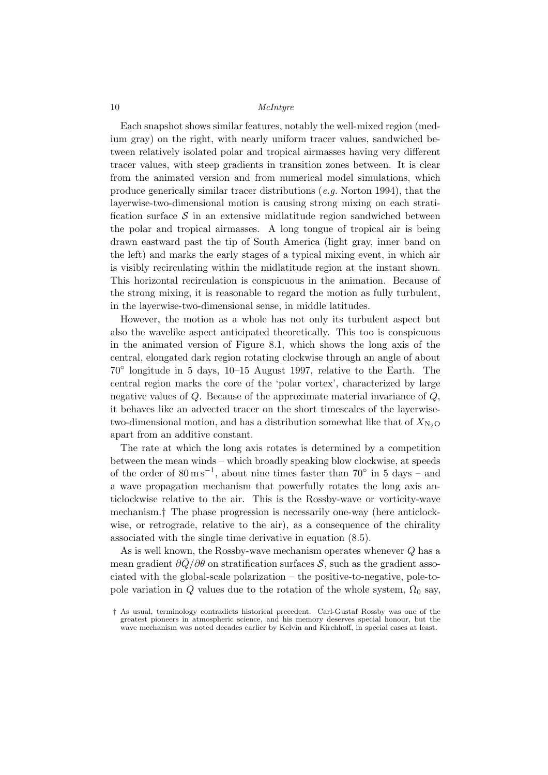Each snapshot shows similar features, notably the well-mixed region (medium gray) on the right, with nearly uniform tracer values, sandwiched between relatively isolated polar and tropical airmasses having very different tracer values, with steep gradients in transition zones between. It is clear from the animated version and from numerical model simulations, which produce generically similar tracer distributions  $(e,q)$ . Norton 1994), that the layerwise-two-dimensional motion is causing strong mixing on each stratification surface  $\mathcal S$  in an extensive midlatitude region sandwiched between the polar and tropical airmasses. A long tongue of tropical air is being drawn eastward past the tip of South America (light gray, inner band on the left) and marks the early stages of a typical mixing event, in which air is visibly recirculating within the midlatitude region at the instant shown. This horizontal recirculation is conspicuous in the animation. Because of the strong mixing, it is reasonable to regard the motion as fully turbulent, in the layerwise-two-dimensional sense, in middle latitudes.

However, the motion as a whole has not only its turbulent aspect but also the wavelike aspect anticipated theoretically. This too is conspicuous in the animated version of Figure 8.1, which shows the long axis of the central, elongated dark region rotating clockwise through an angle of about 70◦ longitude in 5 days, 10–15 August 1997, relative to the Earth. The central region marks the core of the 'polar vortex', characterized by large negative values of Q. Because of the approximate material invariance of Q, it behaves like an advected tracer on the short timescales of the layerwisetwo-dimensional motion, and has a distribution somewhat like that of  $X_{N_2O}$ apart from an additive constant.

The rate at which the long axis rotates is determined by a competition between the mean winds – which broadly speaking blow clockwise, at speeds of the order of  $80 \,\mathrm{m\,s}^{-1}$ , about nine times faster than  $70^{\circ}$  in 5 days – and a wave propagation mechanism that powerfully rotates the long axis anticlockwise relative to the air. This is the Rossby-wave or vorticity-wave mechanism.† The phase progression is necessarily one-way (here anticlockwise, or retrograde, relative to the air), as a consequence of the chirality associated with the single time derivative in equation (8.5).

As is well known, the Rossby-wave mechanism operates whenever  $Q$  has a mean gradient  $\partial \bar{Q}/\partial \theta$  on stratification surfaces S, such as the gradient associated with the global-scale polarization – the positive-to-negative, pole-topole variation in Q values due to the rotation of the whole system,  $\Omega_0$  say,

<sup>†</sup> As usual, terminology contradicts historical precedent. Carl-Gustaf Rossby was one of the greatest pioneers in atmospheric science, and his memory deserves special honour, but the wave mechanism was noted decades earlier by Kelvin and Kirchhoff, in special cases at least.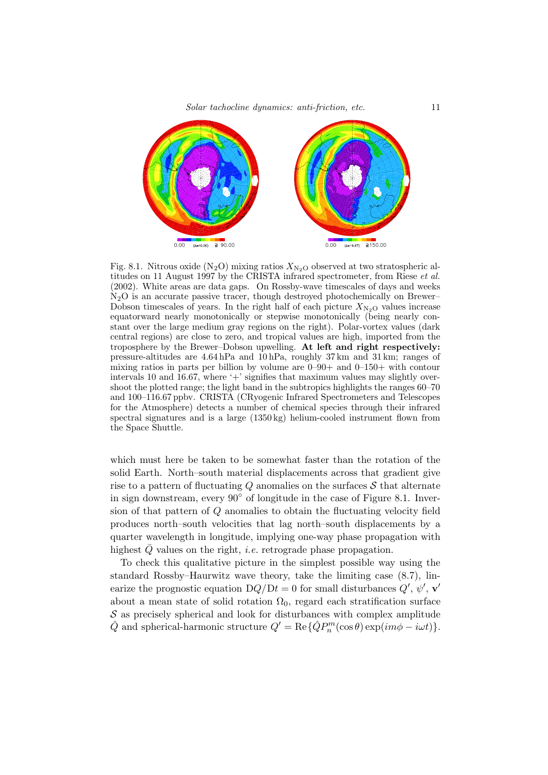Solar tachocline dynamics: anti-friction, etc. 11



Fig. 8.1. Nitrous oxide  $(N_2O)$  mixing ratios  $X_{N_2O}$  observed at two stratospheric altitudes on 11 August 1997 by the CRISTA infrared spectrometer, from Riese et al. (2002). White areas are data gaps. On Rossby-wave timescales of days and weeks  $N<sub>2</sub>O$  is an accurate passive tracer, though destroyed photochemically on Brewer– Dobson timescales of years. In the right half of each picture  $X_{N,Q}$  values increase equatorward nearly monotonically or stepwise monotonically (being nearly constant over the large medium gray regions on the right). Polar-vortex values (dark central regions) are close to zero, and tropical values are high, imported from the troposphere by the Brewer–Dobson upwelling. At left and right respectively: pressure-altitudes are 4.64 hPa and 10 hPa, roughly 37 km and 31 km; ranges of mixing ratios in parts per billion by volume are  $0-90+$  and  $0-150+$  with contour intervals 10 and 16.67, where '+' signifies that maximum values may slightly overshoot the plotted range; the light band in the subtropics highlights the ranges 60–70 and 100–116.67 ppbv. CRISTA (CRyogenic Infrared Spectrometers and Telescopes for the Atmosphere) detects a number of chemical species through their infrared spectral signatures and is a large (1350 kg) helium-cooled instrument flown from the Space Shuttle.

which must here be taken to be somewhat faster than the rotation of the solid Earth. North–south material displacements across that gradient give rise to a pattern of fluctuating  $Q$  anomalies on the surfaces  $S$  that alternate in sign downstream, every 90◦ of longitude in the case of Figure 8.1. Inversion of that pattern of  $Q$  anomalies to obtain the fluctuating velocity field produces north–south velocities that lag north–south displacements by a quarter wavelength in longitude, implying one-way phase propagation with highest  $Q$  values on the right, *i.e.* retrograde phase propagation.

To check this qualitative picture in the simplest possible way using the standard Rossby–Haurwitz wave theory, take the limiting case (8.7), linearize the prognostic equation  $DQ/Dt = 0$  for small disturbances  $Q', \psi', \mathbf{v}'$ about a mean state of solid rotation  $\Omega_0$ , regard each stratification surface  $S$  as precisely spherical and look for disturbances with complex amplitude  $\hat{Q}$  and spherical-harmonic structure  $Q' = \text{Re}\{\hat{Q}P_n^m(\cos\theta)\exp(im\phi - i\omega t)\}.$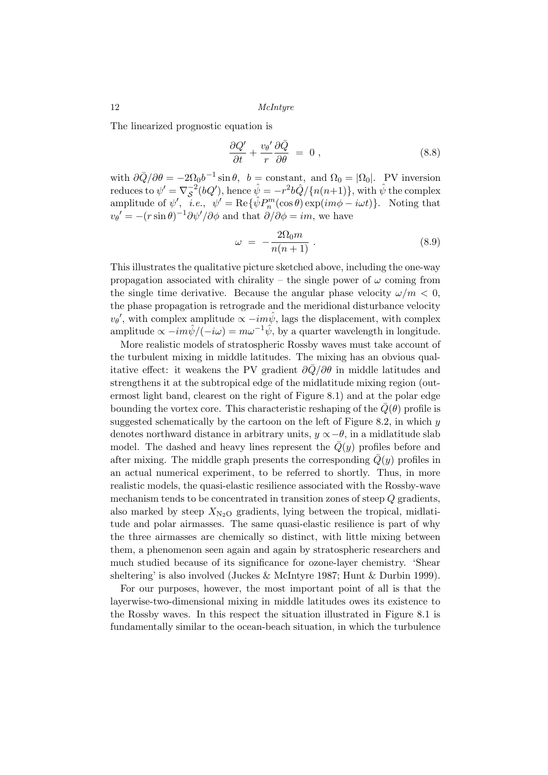The linearized prognostic equation is

$$
\frac{\partial Q'}{\partial t} + \frac{v_{\theta}'}{r} \frac{\partial \bar{Q}}{\partial \theta} = 0 , \qquad (8.8)
$$

with  $\partial \bar{Q}/\partial \theta = -2\Omega_0 b^{-1} \sin \theta$ ,  $b = \text{constant}$ , and  $\Omega_0 = |\Omega_0|$ . PV inversion reduces to  $\psi' = \nabla_{\mathcal{S}}^{-2}$  $\int_{S}^{-2}(bQ')$ , hence  $\hat{\psi} = -r^2b\hat{Q}/\{n(n+1)\}\,$ , with  $\hat{\psi}$  the complex amplitude of  $\psi'$ , *i.e.*,  $\psi' = \text{Re}\{\hat{\psi}P_n^m(\cos\theta)\exp(im\phi - i\omega t)\}\.$  Noting that  $v_{\theta}' = -(r \sin \theta)^{-1} \partial \psi' / \partial \phi$  and that  $\partial / \partial \phi = im$ , we have

$$
\omega = -\frac{2\Omega_0 m}{n(n+1)}.
$$
\n(8.9)

This illustrates the qualitative picture sketched above, including the one-way propagation associated with chirality – the single power of  $\omega$  coming from the single time derivative. Because the angular phase velocity  $\omega/m < 0$ , the phase propagation is retrograde and the meridional disturbance velocity  $v_{\theta}$ ', with complex amplitude  $\propto -im\hat{\psi}$ , lags the displacement, with complex amplitude  $\propto -im\hat{\psi}/(-i\omega) = m\omega^{-1}\hat{\psi}$ , by a quarter wavelength in longitude.

More realistic models of stratospheric Rossby waves must take account of the turbulent mixing in middle latitudes. The mixing has an obvious qualitative effect: it weakens the PV gradient  $\partial \bar{Q}/\partial \theta$  in middle latitudes and strengthens it at the subtropical edge of the midlatitude mixing region (outermost light band, clearest on the right of Figure 8.1) and at the polar edge bounding the vortex core. This characteristic reshaping of the  $\overline{Q}(\theta)$  profile is suggested schematically by the cartoon on the left of Figure 8.2, in which  $y$ denotes northward distance in arbitrary units,  $y \propto -\theta$ , in a midlatitude slab model. The dashed and heavy lines represent the  $\overline{Q}(y)$  profiles before and after mixing. The middle graph presents the corresponding  $\overline{Q}(y)$  profiles in an actual numerical experiment, to be referred to shortly. Thus, in more realistic models, the quasi-elastic resilience associated with the Rossby-wave mechanism tends to be concentrated in transition zones of steep Q gradients, also marked by steep  $X_{N_2O}$  gradients, lying between the tropical, midlatitude and polar airmasses. The same quasi-elastic resilience is part of why the three airmasses are chemically so distinct, with little mixing between them, a phenomenon seen again and again by stratospheric researchers and much studied because of its significance for ozone-layer chemistry. 'Shear sheltering' is also involved (Juckes & McIntyre 1987; Hunt & Durbin 1999).

For our purposes, however, the most important point of all is that the layerwise-two-dimensional mixing in middle latitudes owes its existence to the Rossby waves. In this respect the situation illustrated in Figure 8.1 is fundamentally similar to the ocean-beach situation, in which the turbulence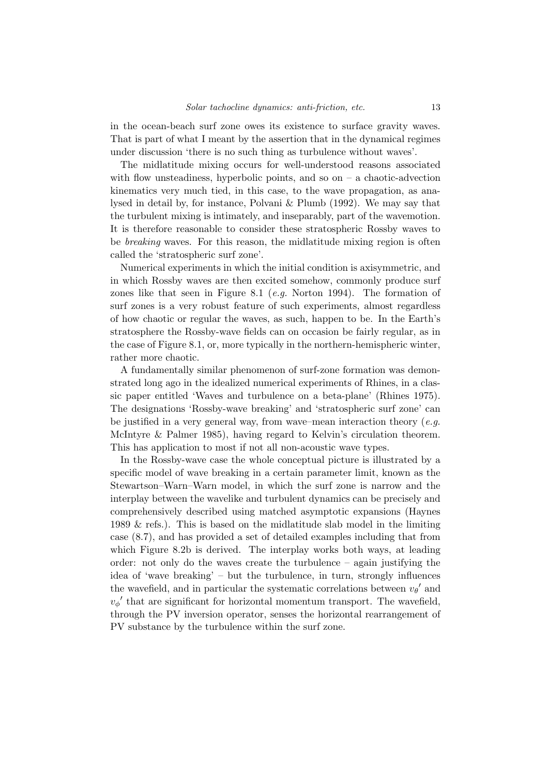in the ocean-beach surf zone owes its existence to surface gravity waves. That is part of what I meant by the assertion that in the dynamical regimes under discussion 'there is no such thing as turbulence without waves'.

The midlatitude mixing occurs for well-understood reasons associated with flow unsteadiness, hyperbolic points, and so on  $-$  a chaotic-advection kinematics very much tied, in this case, to the wave propagation, as analysed in detail by, for instance, Polvani & Plumb (1992). We may say that the turbulent mixing is intimately, and inseparably, part of the wavemotion. It is therefore reasonable to consider these stratospheric Rossby waves to be breaking waves. For this reason, the midlatitude mixing region is often called the 'stratospheric surf zone'.

Numerical experiments in which the initial condition is axisymmetric, and in which Rossby waves are then excited somehow, commonly produce surf zones like that seen in Figure 8.1 (e.g. Norton 1994). The formation of surf zones is a very robust feature of such experiments, almost regardless of how chaotic or regular the waves, as such, happen to be. In the Earth's stratosphere the Rossby-wave fields can on occasion be fairly regular, as in the case of Figure 8.1, or, more typically in the northern-hemispheric winter, rather more chaotic.

A fundamentally similar phenomenon of surf-zone formation was demonstrated long ago in the idealized numerical experiments of Rhines, in a classic paper entitled 'Waves and turbulence on a beta-plane' (Rhines 1975). The designations 'Rossby-wave breaking' and 'stratospheric surf zone' can be justified in a very general way, from wave–mean interaction theory  $(e.g.$ McIntyre & Palmer 1985), having regard to Kelvin's circulation theorem. This has application to most if not all non-acoustic wave types.

In the Rossby-wave case the whole conceptual picture is illustrated by a specific model of wave breaking in a certain parameter limit, known as the Stewartson–Warn–Warn model, in which the surf zone is narrow and the interplay between the wavelike and turbulent dynamics can be precisely and comprehensively described using matched asymptotic expansions (Haynes 1989 & refs.). This is based on the midlatitude slab model in the limiting case (8.7), and has provided a set of detailed examples including that from which Figure 8.2b is derived. The interplay works both ways, at leading order: not only do the waves create the turbulence – again justifying the idea of 'wave breaking' – but the turbulence, in turn, strongly influences the wavefield, and in particular the systematic correlations between  $v_{\theta}'$  and  $v_{\phi}'$  that are significant for horizontal momentum transport. The wavefield, through the PV inversion operator, senses the horizontal rearrangement of PV substance by the turbulence within the surf zone.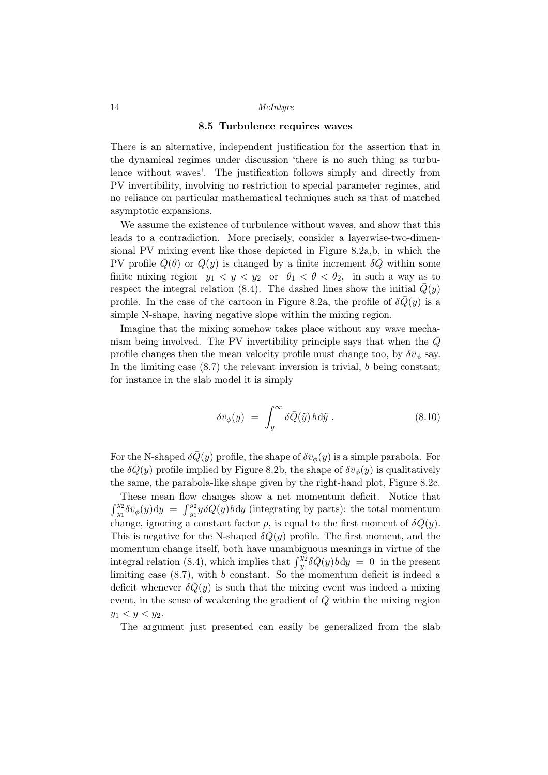## 8.5 Turbulence requires waves

There is an alternative, independent justification for the assertion that in the dynamical regimes under discussion 'there is no such thing as turbulence without waves'. The justification follows simply and directly from PV invertibility, involving no restriction to special parameter regimes, and no reliance on particular mathematical techniques such as that of matched asymptotic expansions.

We assume the existence of turbulence without waves, and show that this leads to a contradiction. More precisely, consider a layerwise-two-dimensional PV mixing event like those depicted in Figure 8.2a,b, in which the PV profile  $Q(\theta)$  or  $Q(y)$  is changed by a finite increment  $\delta Q$  within some finite mixing region  $y_1 < y < y_2$  or  $\theta_1 < \theta < \theta_2$ , in such a way as to respect the integral relation (8.4). The dashed lines show the initial  $\overline{Q}(y)$ profile. In the case of the cartoon in Figure 8.2a, the profile of  $\delta Q(y)$  is a simple N-shape, having negative slope within the mixing region.

Imagine that the mixing somehow takes place without any wave mechanism being involved. The PV invertibility principle says that when the  $\overline{Q}$ profile changes then the mean velocity profile must change too, by  $\delta \bar{v}_{\phi}$  say. In the limiting case  $(8.7)$  the relevant inversion is trivial, b being constant; for instance in the slab model it is simply

$$
\delta \bar{v}_{\phi}(y) = \int_{y}^{\infty} \delta \bar{Q}(\tilde{y}) b d\tilde{y} . \qquad (8.10)
$$

For the N-shaped  $\delta \bar{Q}(y)$  profile, the shape of  $\delta \bar{v}_{\phi}(y)$  is a simple parabola. For the  $\delta\bar{Q}(y)$  profile implied by Figure 8.2b, the shape of  $\delta\bar{v}_\phi(y)$  is qualitatively the same, the parabola-like shape given by the right-hand plot, Figure 8.2c.

These mean flow changes show a net momentum deficit. Notice that  $\int_{y_1}^{y_2} \delta \bar{v}_{\phi}(y) dy = \int_{y_1}^{y_2} y \delta \bar{Q}(y) b dy$  (integrating by parts): the total momentum change, ignoring a constant factor  $\rho$ , is equal to the first moment of  $\delta \bar{Q}(y)$ . This is negative for the N-shaped  $\delta \bar{Q}(y)$  profile. The first moment, and the momentum change itself, both have unambiguous meanings in virtue of the integral relation (8.4), which implies that  $\int_{y_1}^{y_2} \delta \bar{Q}(y) b \,dy = 0$  in the present limiting case  $(8.7)$ , with b constant. So the momentum deficit is indeed a deficit whenever  $\delta \bar{Q}(y)$  is such that the mixing event was indeed a mixing event, in the sense of weakening the gradient of  $\overline{Q}$  within the mixing region  $y_1 < y < y_2$ .

The argument just presented can easily be generalized from the slab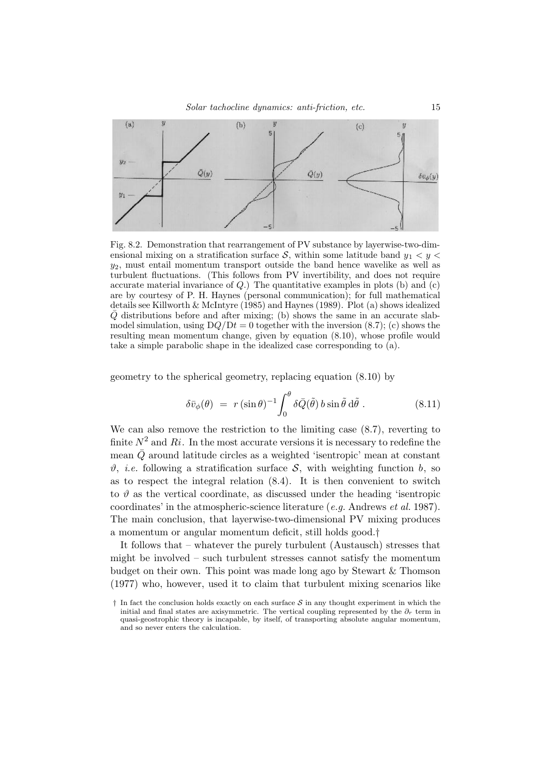

Fig. 8.2. Demonstration that rearrangement of PV substance by layerwise-two-dimensional mixing on a stratification surface S, within some latitude band  $y_1 < y <$  $y_2$ , must entail momentum transport outside the band hence wavelike as well as turbulent fluctuations. (This follows from PV invertibility, and does not require accurate material invariance of  $Q$ .) The quantitative examples in plots (b) and (c) are by courtesy of P. H. Haynes (personal communication); for full mathematical details see Killworth & McIntyre (1985) and Haynes (1989). Plot (a) shows idealized  $Q$  distributions before and after mixing; (b) shows the same in an accurate slabmodel simulation, using  $DQ/Dt = 0$  together with the inversion (8.7); (c) shows the resulting mean momentum change, given by equation (8.10), whose profile would take a simple parabolic shape in the idealized case corresponding to (a).

geometry to the spherical geometry, replacing equation (8.10) by

$$
\delta \bar{v}_{\phi}(\theta) = r (\sin \theta)^{-1} \int_0^{\theta} \delta \bar{Q}(\tilde{\theta}) b \sin \tilde{\theta} d\tilde{\theta} . \qquad (8.11)
$$

We can also remove the restriction to the limiting case (8.7), reverting to finite  $N^2$  and  $Ri$ . In the most accurate versions it is necessary to redefine the mean  $\overline{Q}$  around latitude circles as a weighted 'isentropic' mean at constant  $\vartheta$ , *i.e.* following a stratification surface S, with weighting function b, so as to respect the integral relation (8.4). It is then convenient to switch to  $\vartheta$  as the vertical coordinate, as discussed under the heading 'isentropic coordinates' in the atmospheric-science literature (e.g. Andrews et al. 1987). The main conclusion, that layerwise-two-dimensional PV mixing produces a momentum or angular momentum deficit, still holds good.†

It follows that – whatever the purely turbulent (Austausch) stresses that might be involved – such turbulent stresses cannot satisfy the momentum budget on their own. This point was made long ago by Stewart & Thomson (1977) who, however, used it to claim that turbulent mixing scenarios like

 $\dagger$  In fact the conclusion holds exactly on each surface S in any thought experiment in which the initial and final states are axisymmetric. The vertical coupling represented by the  $\partial_r$  term in quasi-geostrophic theory is incapable, by itself, of transporting absolute angular momentum, and so never enters the calculation.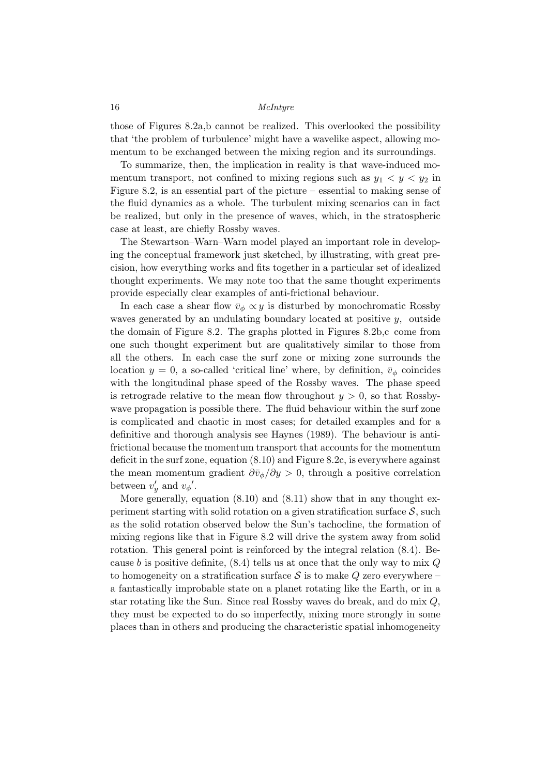those of Figures 8.2a,b cannot be realized. This overlooked the possibility that 'the problem of turbulence' might have a wavelike aspect, allowing momentum to be exchanged between the mixing region and its surroundings.

To summarize, then, the implication in reality is that wave-induced momentum transport, not confined to mixing regions such as  $y_1 \le y \le y_2$  in Figure 8.2, is an essential part of the picture – essential to making sense of the fluid dynamics as a whole. The turbulent mixing scenarios can in fact be realized, but only in the presence of waves, which, in the stratospheric case at least, are chiefly Rossby waves.

The Stewartson–Warn–Warn model played an important role in developing the conceptual framework just sketched, by illustrating, with great precision, how everything works and fits together in a particular set of idealized thought experiments. We may note too that the same thought experiments provide especially clear examples of anti-frictional behaviour.

In each case a shear flow  $\bar{v}_{\phi} \propto y$  is disturbed by monochromatic Rossby waves generated by an undulating boundary located at positive  $y$ , outside the domain of Figure 8.2. The graphs plotted in Figures 8.2b,c come from one such thought experiment but are qualitatively similar to those from all the others. In each case the surf zone or mixing zone surrounds the location  $y = 0$ , a so-called 'critical line' where, by definition,  $\bar{v}_{\phi}$  coincides with the longitudinal phase speed of the Rossby waves. The phase speed is retrograde relative to the mean flow throughout  $y > 0$ , so that Rossbywave propagation is possible there. The fluid behaviour within the surf zone is complicated and chaotic in most cases; for detailed examples and for a definitive and thorough analysis see Haynes (1989). The behaviour is antifrictional because the momentum transport that accounts for the momentum deficit in the surf zone, equation (8.10) and Figure 8.2c, is everywhere against the mean momentum gradient  $\frac{\partial \bar{v}_{\phi}}{\partial y} > 0$ , through a positive correlation between  $v'_y$  and  $v_{\phi}'$ .

More generally, equation (8.10) and (8.11) show that in any thought experiment starting with solid rotation on a given stratification surface  $S$ , such as the solid rotation observed below the Sun's tachocline, the formation of mixing regions like that in Figure 8.2 will drive the system away from solid rotation. This general point is reinforced by the integral relation (8.4). Because b is positive definite,  $(8.4)$  tells us at once that the only way to mix  $Q$ to homogeneity on a stratification surface  $S$  is to make  $Q$  zero everywhere – a fantastically improbable state on a planet rotating like the Earth, or in a star rotating like the Sun. Since real Rossby waves do break, and do mix Q, they must be expected to do so imperfectly, mixing more strongly in some places than in others and producing the characteristic spatial inhomogeneity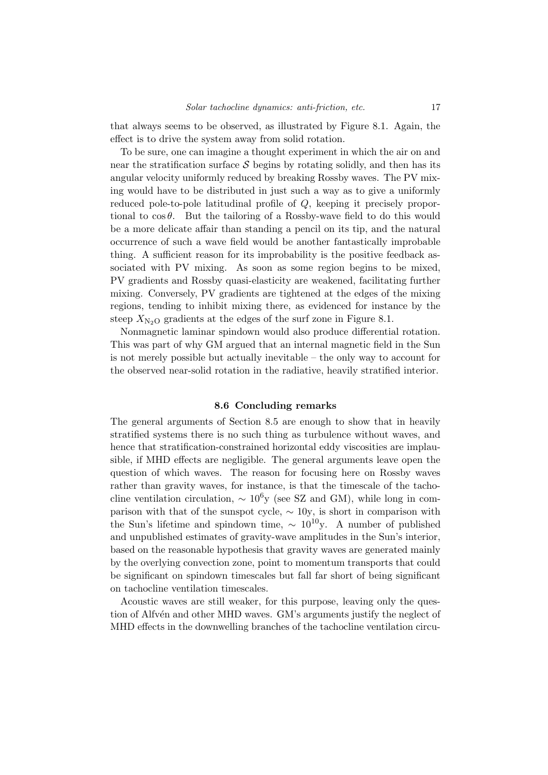that always seems to be observed, as illustrated by Figure 8.1. Again, the effect is to drive the system away from solid rotation.

To be sure, one can imagine a thought experiment in which the air on and near the stratification surface  $S$  begins by rotating solidly, and then has its angular velocity uniformly reduced by breaking Rossby waves. The PV mixing would have to be distributed in just such a way as to give a uniformly reduced pole-to-pole latitudinal profile of Q, keeping it precisely proportional to  $\cos \theta$ . But the tailoring of a Rossby-wave field to do this would be a more delicate affair than standing a pencil on its tip, and the natural occurrence of such a wave field would be another fantastically improbable thing. A sufficient reason for its improbability is the positive feedback associated with PV mixing. As soon as some region begins to be mixed, PV gradients and Rossby quasi-elasticity are weakened, facilitating further mixing. Conversely, PV gradients are tightened at the edges of the mixing regions, tending to inhibit mixing there, as evidenced for instance by the steep  $X_{N_2O}$  gradients at the edges of the surf zone in Figure 8.1.

Nonmagnetic laminar spindown would also produce differential rotation. This was part of why GM argued that an internal magnetic field in the Sun is not merely possible but actually inevitable – the only way to account for the observed near-solid rotation in the radiative, heavily stratified interior.

## 8.6 Concluding remarks

The general arguments of Section 8.5 are enough to show that in heavily stratified systems there is no such thing as turbulence without waves, and hence that stratification-constrained horizontal eddy viscosities are implausible, if MHD effects are negligible. The general arguments leave open the question of which waves. The reason for focusing here on Rossby waves rather than gravity waves, for instance, is that the timescale of the tachocline ventilation circulation,  $\sim 10^6$ y (see SZ and GM), while long in comparison with that of the sunspot cycle,  $\sim 10$ y, is short in comparison with the Sun's lifetime and spindown time,  $\sim 10^{10}$ y. A number of published and unpublished estimates of gravity-wave amplitudes in the Sun's interior, based on the reasonable hypothesis that gravity waves are generated mainly by the overlying convection zone, point to momentum transports that could be significant on spindown timescales but fall far short of being significant on tachocline ventilation timescales.

Acoustic waves are still weaker, for this purpose, leaving only the question of Alfv<sup>en</sup> and other MHD waves. GM's arguments justify the neglect of MHD effects in the downwelling branches of the tachocline ventilation circu-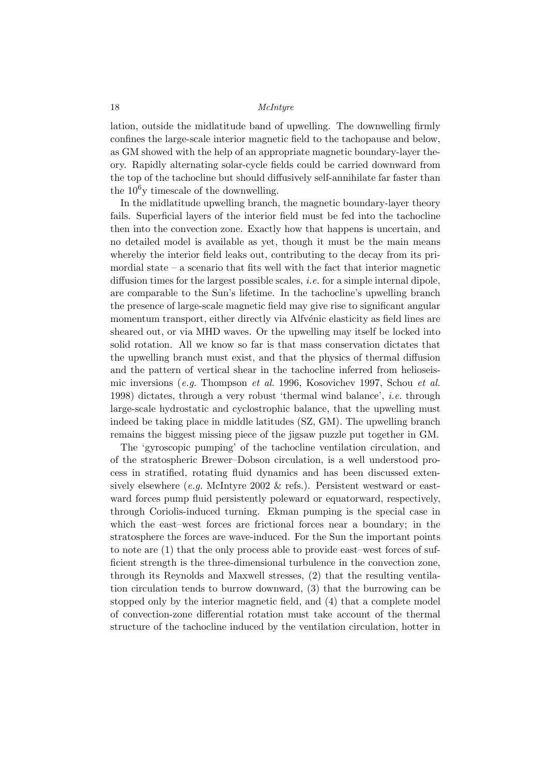lation, outside the midlatitude band of upwelling. The downwelling firmly confines the large-scale interior magnetic field to the tachopause and below, as GM showed with the help of an appropriate magnetic boundary-layer theory. Rapidly alternating solar-cycle fields could be carried downward from the top of the tachocline but should diffusively self-annihilate far faster than the  $10^6$ y timescale of the downwelling.

In the midlatitude upwelling branch, the magnetic boundary-layer theory fails. Superficial layers of the interior field must be fed into the tachocline then into the convection zone. Exactly how that happens is uncertain, and no detailed model is available as yet, though it must be the main means whereby the interior field leaks out, contributing to the decay from its primordial state – a scenario that fits well with the fact that interior magnetic diffusion times for the largest possible scales, *i.e.* for a simple internal dipole, are comparable to the Sun's lifetime. In the tachocline's upwelling branch the presence of large-scale magnetic field may give rise to significant angular momentum transport, either directly via Alfvénic elasticity as field lines are sheared out, or via MHD waves. Or the upwelling may itself be locked into solid rotation. All we know so far is that mass conservation dictates that the upwelling branch must exist, and that the physics of thermal diffusion and the pattern of vertical shear in the tachocline inferred from helioseismic inversions (e.g. Thompson et al. 1996, Kosovichev 1997, Schou et al. 1998) dictates, through a very robust 'thermal wind balance', i.e. through large-scale hydrostatic and cyclostrophic balance, that the upwelling must indeed be taking place in middle latitudes (SZ, GM). The upwelling branch remains the biggest missing piece of the jigsaw puzzle put together in GM.

The 'gyroscopic pumping' of the tachocline ventilation circulation, and of the stratospheric Brewer–Dobson circulation, is a well understood process in stratified, rotating fluid dynamics and has been discussed extensively elsewhere (e.g. McIntyre 2002  $\&$  refs.). Persistent westward or eastward forces pump fluid persistently poleward or equatorward, respectively, through Coriolis-induced turning. Ekman pumping is the special case in which the east–west forces are frictional forces near a boundary; in the stratosphere the forces are wave-induced. For the Sun the important points to note are (1) that the only process able to provide east–west forces of sufficient strength is the three-dimensional turbulence in the convection zone, through its Reynolds and Maxwell stresses, (2) that the resulting ventilation circulation tends to burrow downward, (3) that the burrowing can be stopped only by the interior magnetic field, and (4) that a complete model of convection-zone differential rotation must take account of the thermal structure of the tachocline induced by the ventilation circulation, hotter in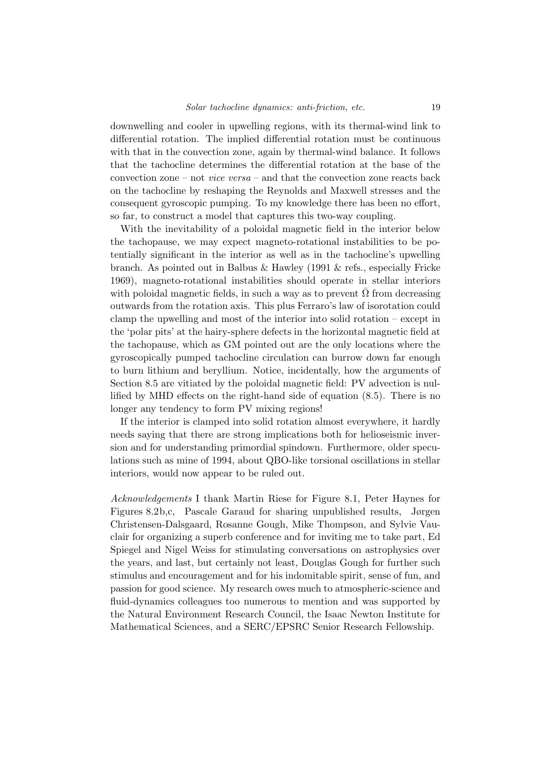downwelling and cooler in upwelling regions, with its thermal-wind link to differential rotation. The implied differential rotation must be continuous with that in the convection zone, again by thermal-wind balance. It follows that the tachocline determines the differential rotation at the base of the convection zone – not *vice versa* – and that the convection zone reacts back on the tachocline by reshaping the Reynolds and Maxwell stresses and the consequent gyroscopic pumping. To my knowledge there has been no effort, so far, to construct a model that captures this two-way coupling.

With the inevitability of a poloidal magnetic field in the interior below the tachopause, we may expect magneto-rotational instabilities to be potentially significant in the interior as well as in the tachocline's upwelling branch. As pointed out in Balbus & Hawley (1991 & refs., especially Fricke 1969), magneto-rotational instabilities should operate in stellar interiors with poloidal magnetic fields, in such a way as to prevent  $\overline{\Omega}$  from decreasing outwards from the rotation axis. This plus Ferraro's law of isorotation could clamp the upwelling and most of the interior into solid rotation – except in the 'polar pits' at the hairy-sphere defects in the horizontal magnetic field at the tachopause, which as GM pointed out are the only locations where the gyroscopically pumped tachocline circulation can burrow down far enough to burn lithium and beryllium. Notice, incidentally, how the arguments of Section 8.5 are vitiated by the poloidal magnetic field: PV advection is nullified by MHD effects on the right-hand side of equation (8.5). There is no longer any tendency to form PV mixing regions!

If the interior is clamped into solid rotation almost everywhere, it hardly needs saying that there are strong implications both for helioseismic inversion and for understanding primordial spindown. Furthermore, older speculations such as mine of 1994, about QBO-like torsional oscillations in stellar interiors, would now appear to be ruled out.

Acknowledgements I thank Martin Riese for Figure 8.1, Peter Haynes for Figures 8.2b,c, Pascale Garaud for sharing unpublished results, Jørgen Christensen-Dalsgaard, Rosanne Gough, Mike Thompson, and Sylvie Vauclair for organizing a superb conference and for inviting me to take part, Ed Spiegel and Nigel Weiss for stimulating conversations on astrophysics over the years, and last, but certainly not least, Douglas Gough for further such stimulus and encouragement and for his indomitable spirit, sense of fun, and passion for good science. My research owes much to atmospheric-science and fluid-dynamics colleagues too numerous to mention and was supported by the Natural Environment Research Council, the Isaac Newton Institute for Mathematical Sciences, and a SERC/EPSRC Senior Research Fellowship.